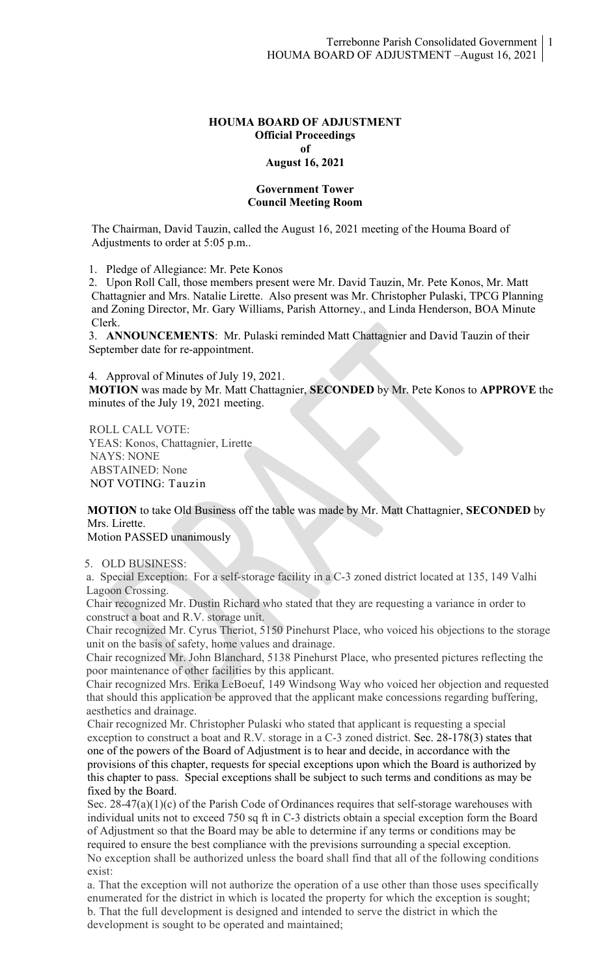#### **HOUMA BOARD OF ADJUSTMENT Official Proceedings of August 16, 2021**

### **Government Tower Council Meeting Room**

The Chairman, David Tauzin, called the August 16, 2021 meeting of the Houma Board of Adjustments to order at 5:05 p.m..

1. Pledge of Allegiance: Mr. Pete Konos

 2. Upon Roll Call, those members present were Mr. David Tauzin, Mr. Pete Konos, Mr. Matt Chattagnier and Mrs. Natalie Lirette. Also present was Mr. Christopher Pulaski, TPCG Planning and Zoning Director, Mr. Gary Williams, Parish Attorney., and Linda Henderson, BOA Minute Clerk.

3. **ANNOUNCEMENTS**: Mr. Pulaski reminded Matt Chattagnier and David Tauzin of their September date for re-appointment.

4. Approval of Minutes of July 19, 2021.

 **MOTION** was made by Mr. Matt Chattagnier, **SECONDED** by Mr. Pete Konos to **APPROVE** the minutes of the July 19, 2021 meeting.

ROLL CALL VOTE: YEAS: Konos, Chattagnier, Lirette NAYS: NONE ABSTAINED: None NOT VOTING: Tauzin

# **MOTION** to take Old Business off the table was made by Mr. Matt Chattagnier, **SECONDED** by Mrs. Lirette.

Motion PASSED unanimously

### 5. OLD BUSINESS:

a. Special Exception: For a self-storage facility in a C-3 zoned district located at 135, 149 Valhi Lagoon Crossing.

Chair recognized Mr. Dustin Richard who stated that they are requesting a variance in order to construct a boat and R.V. storage unit.

Chair recognized Mr. Cyrus Theriot, 5150 Pinehurst Place, who voiced his objections to the storage unit on the basis of safety, home values and drainage.

Chair recognized Mr. John Blanchard, 5138 Pinehurst Place, who presented pictures reflecting the poor maintenance of other facilities by this applicant.

Chair recognized Mrs. Erika LeBoeuf, 149 Windsong Way who voiced her objection and requested that should this application be approved that the applicant make concessions regarding buffering, aesthetics and drainage.

Chair recognized Mr. Christopher Pulaski who stated that applicant is requesting a special exception to construct a boat and R.V. storage in a C-3 zoned district. Sec. 28-178(3) states that one of the powers of the Board of Adjustment is to hear and decide, in accordance with the provisions of this chapter, requests for special exceptions upon which the Board is authorized by this chapter to pass. Special exceptions shall be subject to such terms and conditions as may be fixed by the Board.

Sec. 28-47(a)(1)(c) of the Parish Code of Ordinances requires that self-storage warehouses with individual units not to exceed 750 sq ft in C-3 districts obtain a special exception form the Board of Adjustment so that the Board may be able to determine if any terms or conditions may be required to ensure the best compliance with the previsions surrounding a special exception. No exception shall be authorized unless the board shall find that all of the following conditions exist:

a. That the exception will not authorize the operation of a use other than those uses specifically enumerated for the district in which is located the property for which the exception is sought; b. That the full development is designed and intended to serve the district in which the development is sought to be operated and maintained;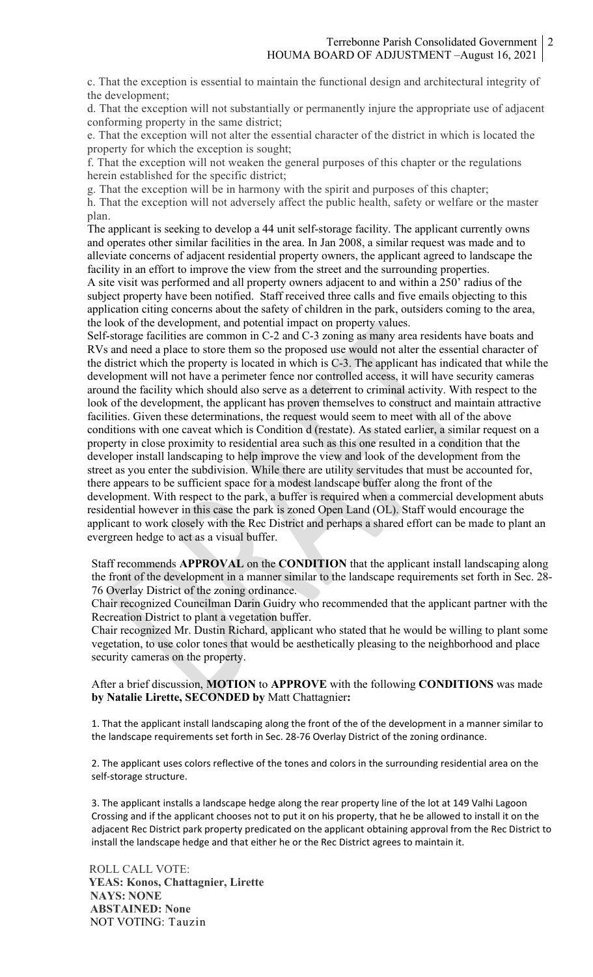c. That the exception is essential to maintain the functional design and architectural integrity of the development;

d. That the exception will not substantially or permanently injure the appropriate use of adjacent conforming property in the same district;

e. That the exception will not alter the essential character of the district in which is located the property for which the exception is sought;

f. That the exception will not weaken the general purposes of this chapter or the regulations herein established for the specific district;

g. That the exception will be in harmony with the spirit and purposes of this chapter;

h. That the exception will not adversely affect the public health, safety or welfare or the master plan.

The applicant is seeking to develop a 44 unit self-storage facility. The applicant currently owns and operates other similar facilities in the area. In Jan 2008, a similar request was made and to alleviate concerns of adjacent residential property owners, the applicant agreed to landscape the facility in an effort to improve the view from the street and the surrounding properties.

A site visit was performed and all property owners adjacent to and within a 250' radius of the subject property have been notified. Staff received three calls and five emails objecting to this application citing concerns about the safety of children in the park, outsiders coming to the area, the look of the development, and potential impact on property values.

Self-storage facilities are common in C-2 and C-3 zoning as many area residents have boats and RVs and need a place to store them so the proposed use would not alter the essential character of the district which the property is located in which is C-3. The applicant has indicated that while the development will not have a perimeter fence nor controlled access, it will have security cameras around the facility which should also serve as a deterrent to criminal activity. With respect to the look of the development, the applicant has proven themselves to construct and maintain attractive facilities. Given these determinations, the request would seem to meet with all of the above conditions with one caveat which is Condition d (restate). As stated earlier, a similar request on a property in close proximity to residential area such as this one resulted in a condition that the developer install landscaping to help improve the view and look of the development from the street as you enter the subdivision. While there are utility servitudes that must be accounted for, there appears to be sufficient space for a modest landscape buffer along the front of the development. With respect to the park, a buffer is required when a commercial development abuts residential however in this case the park is zoned Open Land (OL). Staff would encourage the applicant to work closely with the Rec District and perhaps a shared effort can be made to plant an evergreen hedge to act as a visual buffer.

Staff recommends **APPROVAL** on the **CONDITION** that the applicant install landscaping along the front of the development in a manner similar to the landscape requirements set forth in Sec. 28- 76 Overlay District of the zoning ordinance.

Chair recognized Councilman Darin Guidry who recommended that the applicant partner with the Recreation District to plant a vegetation buffer.

Chair recognized Mr. Dustin Richard, applicant who stated that he would be willing to plant some vegetation, to use color tones that would be aesthetically pleasing to the neighborhood and place security cameras on the property.

## After a brief discussion, **MOTION** to **APPROVE** with the following **CONDITIONS** was made **by Natalie Lirette, SECONDED by** Matt Chattagnier**:**

1. That the applicant install landscaping along the front of the of the development in a manner similar to the landscape requirements set forth in Sec. 28-76 Overlay District of the zoning ordinance.

2. The applicant uses colors reflective of the tones and colors in the surrounding residential area on the self-storage structure.

3. The applicant installs a landscape hedge along the rear property line of the lot at 149 Valhi Lagoon Crossing and if the applicant chooses not to put it on his property, that he be allowed to install it on the adjacent Rec District park property predicated on the applicant obtaining approval from the Rec District to install the landscape hedge and that either he or the Rec District agrees to maintain it.

ROLL CALL VOTE:  **YEAS: Konos, Chattagnier, Lirette NAYS: NONE ABSTAINED: None** NOT VOTING: Tauzin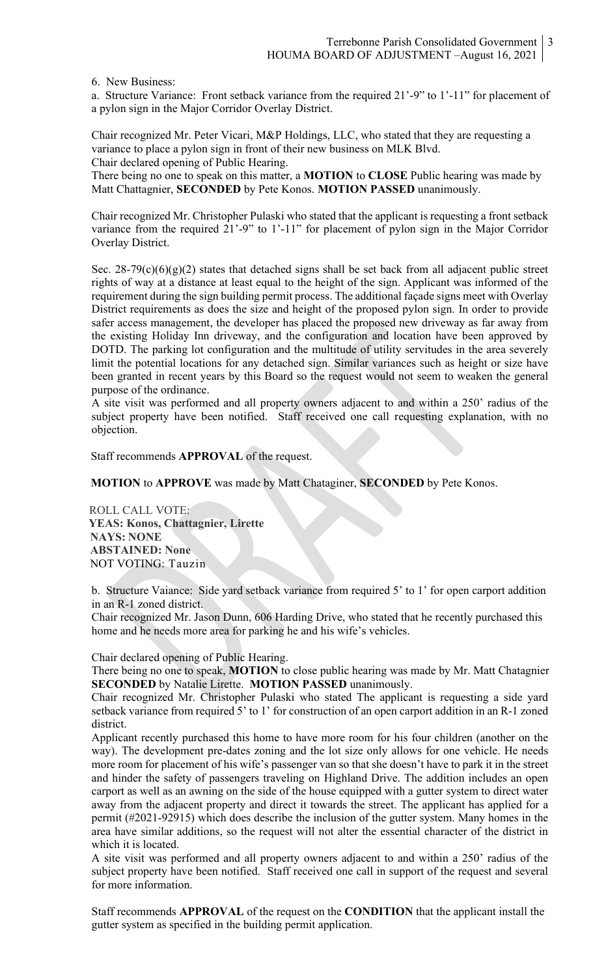6. New Business:

a. Structure Variance: Front setback variance from the required 21'-9" to 1'-11" for placement of a pylon sign in the Major Corridor Overlay District.

Chair recognized Mr. Peter Vicari, M&P Holdings, LLC, who stated that they are requesting a variance to place a pylon sign in front of their new business on MLK Blvd. Chair declared opening of Public Hearing.

There being no one to speak on this matter, a **MOTION** to **CLOSE** Public hearing was made by Matt Chattagnier, **SECONDED** by Pete Konos. **MOTION PASSED** unanimously.

Chair recognized Mr. Christopher Pulaski who stated that the applicant is requesting a front setback variance from the required 21'-9" to 1'-11" for placement of pylon sign in the Major Corridor Overlay District.

Sec.  $28-79(c)(6)(g)(2)$  states that detached signs shall be set back from all adjacent public street rights of way at a distance at least equal to the height of the sign. Applicant was informed of the requirement during the sign building permit process. The additional façade signs meet with Overlay District requirements as does the size and height of the proposed pylon sign. In order to provide safer access management, the developer has placed the proposed new driveway as far away from the existing Holiday Inn driveway, and the configuration and location have been approved by DOTD. The parking lot configuration and the multitude of utility servitudes in the area severely limit the potential locations for any detached sign. Similar variances such as height or size have been granted in recent years by this Board so the request would not seem to weaken the general purpose of the ordinance.

A site visit was performed and all property owners adjacent to and within a 250' radius of the subject property have been notified. Staff received one call requesting explanation, with no objection.

Staff recommends **APPROVAL** of the request.

**MOTION** to **APPROVE** was made by Matt Chataginer, **SECONDED** by Pete Konos.

ROLL CALL VOTE:  **YEAS: Konos, Chattagnier, Lirette NAYS: NONE ABSTAINED: None** NOT VOTING: Tauzin

b. Structure Vaiance: Side yard setback variance from required 5' to 1' for open carport addition in an R-1 zoned district.

Chair recognized Mr. Jason Dunn, 606 Harding Drive, who stated that he recently purchased this home and he needs more area for parking he and his wife's vehicles.

Chair declared opening of Public Hearing.

There being no one to speak, **MOTION** to close public hearing was made by Mr. Matt Chatagnier **SECONDED** by Natalie Lirette. **MOTION PASSED** unanimously.

Chair recognized Mr. Christopher Pulaski who stated The applicant is requesting a side yard setback variance from required 5' to 1' for construction of an open carport addition in an R-1 zoned district.

Applicant recently purchased this home to have more room for his four children (another on the way). The development pre-dates zoning and the lot size only allows for one vehicle. He needs more room for placement of his wife's passenger van so that she doesn't have to park it in the street and hinder the safety of passengers traveling on Highland Drive. The addition includes an open carport as well as an awning on the side of the house equipped with a gutter system to direct water away from the adjacent property and direct it towards the street. The applicant has applied for a permit (#2021-92915) which does describe the inclusion of the gutter system. Many homes in the area have similar additions, so the request will not alter the essential character of the district in which it is located.

A site visit was performed and all property owners adjacent to and within a 250' radius of the subject property have been notified. Staff received one call in support of the request and several for more information.

Staff recommends **APPROVAL** of the request on the **CONDITION** that the applicant install the gutter system as specified in the building permit application.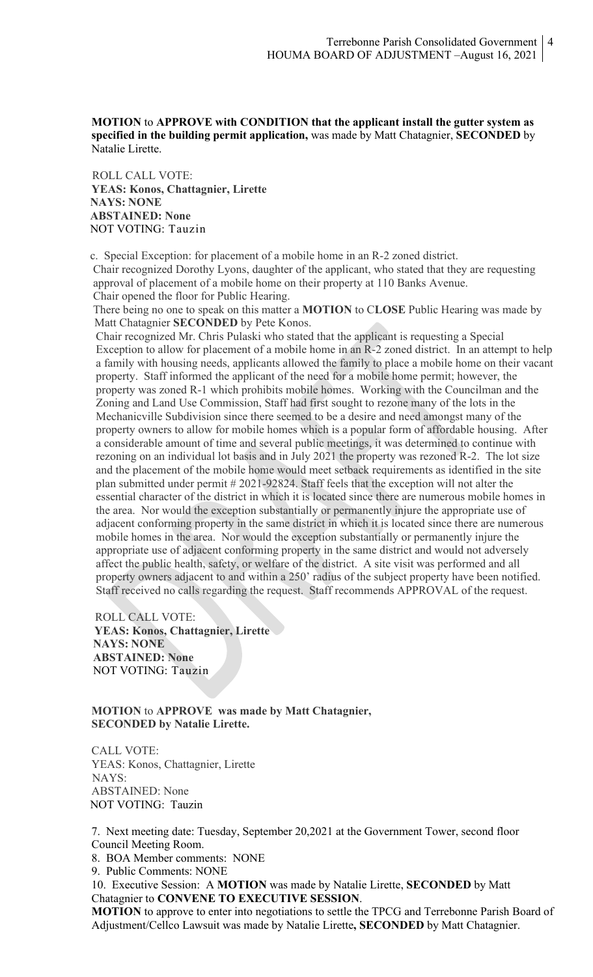## **MOTION** to **APPROVE with CONDITION that the applicant install the gutter system as specified in the building permit application,** was made by Matt Chatagnier, **SECONDED** by Natalie Lirette.

 ROLL CALL VOTE:  **YEAS: Konos, Chattagnier, Lirette NAYS: NONE ABSTAINED: None** NOT VOTING: Tauzin

 c. Special Exception: for placement of a mobile home in an R-2 zoned district. Chair recognized Dorothy Lyons, daughter of the applicant, who stated that they are requesting approval of placement of a mobile home on their property at 110 Banks Avenue. Chair opened the floor for Public Hearing.

 There being no one to speak on this matter a **MOTION** to C**LOSE** Public Hearing was made by Matt Chatagnier **SECONDED** by Pete Konos.

Chair recognized Mr. Chris Pulaski who stated that the applicant is requesting a Special Exception to allow for placement of a mobile home in an R-2 zoned district. In an attempt to help a family with housing needs, applicants allowed the family to place a mobile home on their vacant property. Staff informed the applicant of the need for a mobile home permit; however, the property was zoned R-1 which prohibits mobile homes. Working with the Councilman and the Zoning and Land Use Commission, Staff had first sought to rezone many of the lots in the Mechanicville Subdivision since there seemed to be a desire and need amongst many of the property owners to allow for mobile homes which is a popular form of affordable housing. After a considerable amount of time and several public meetings, it was determined to continue with rezoning on an individual lot basis and in July 2021 the property was rezoned R-2. The lot size and the placement of the mobile home would meet setback requirements as identified in the site plan submitted under permit # 2021-92824. Staff feels that the exception will not alter the essential character of the district in which it is located since there are numerous mobile homes in the area. Nor would the exception substantially or permanently injure the appropriate use of adjacent conforming property in the same district in which it is located since there are numerous mobile homes in the area. Nor would the exception substantially or permanently injure the appropriate use of adjacent conforming property in the same district and would not adversely affect the public health, safety, or welfare of the district. A site visit was performed and all property owners adjacent to and within a 250' radius of the subject property have been notified. Staff received no calls regarding the request. Staff recommends APPROVAL of the request.

 ROLL CALL VOTE:  **YEAS: Konos, Chattagnier, Lirette NAYS: NONE ABSTAINED: None** NOT VOTING: Tauzin

**MOTION** to **APPROVE was made by Matt Chatagnier, SECONDED by Natalie Lirette.**

CALL VOTE: YEAS: Konos, Chattagnier, Lirette NAYS: ABSTAINED: None NOT VOTING: Tauzin

7. Next meeting date: Tuesday, September 20,2021 at the Government Tower, second floor Council Meeting Room.

8. BOA Member comments: NONE

9. Public Comments: NONE

10. Executive Session: A **MOTION** was made by Natalie Lirette, **SECONDED** by Matt Chatagnier to **CONVENE TO EXECUTIVE SESSION**.

**MOTION** to approve to enter into negotiations to settle the TPCG and Terrebonne Parish Board of Adjustment/Cellco Lawsuit was made by Natalie Lirette**, SECONDED** by Matt Chatagnier.